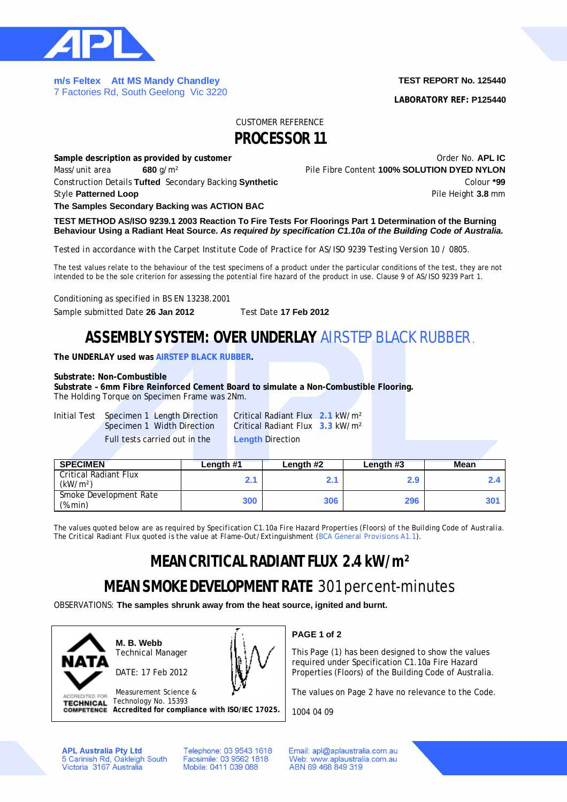

**m/s Feltex Att MS Mandy Chandley**  7 Factories Rd, South Geelong Vic 3220

### **TEST REPORT No. 125440**

**LABORATORY REF: P125440**

### CUSTOMER REFERENCE

### **PROCESSOR 11**

**Sample description as provided by customer by the contract of the Contract Order No. APL IC** Mass/unit area **680** g/m² Pile Fibre Content **100% SOLUTION DYED NYLON** Construction Details **Tufted** Secondary Backing **Synthetic** Colour **\*99 Style Patterned Loop Pile Height 3.8** mm

**The Samples Secondary Backing was ACTION BAC**

**TEST METHOD AS/ISO 9239.1 2003 Reaction To Fire Tests For Floorings Part 1 Determination of the Burning Behaviour Using a Radiant Heat Source.** *As required by specification C1.10a of the Building Code of Australia.*

*Tested in accordance with the Carpet Institute Code of Practice for AS/ISO 9239 Testing Version 10 / 0805.*

The test values relate to the behaviour of the test specimens of a product under the particular conditions of the test, they are not intended to be the sole criterion for assessing the potential fire hazard of the product in use. Clause 9 of AS/ISO 9239 Part 1.

Conditioning as specified in BS EN 13238.2001

Sample submitted Date **26 Jan 2012** Test Date **17 Feb 2012**

## **ASSEMBLY SYSTEM: OVER UNDERLAY** AIRSTEP BLACK RUBBER.

**The UNDERLAY used was AIRSTEP BLACK RUBBER.**

### **Substrate: Non-Combustible**

**Substrate – 6mm Fibre Reinforced Cement Board to simulate a Non-Combustible Flooring.** The Holding Torque on Specimen Frame was 2Nm.

Initial Test Specimen 1 Length Direction Critical Radiant Flux **2.1** kW/m²

**Critical Radiant Flux 3.3 kW/m<sup>2</sup>** Full tests carried out in the **Length** Direction

| <b>SPECIMEN</b>                               | Length #1 | Length #2 | Length #3 | <b>Mean</b> |  |
|-----------------------------------------------|-----------|-----------|-----------|-------------|--|
| Critical Radiant Flux<br>(kW/m <sup>2</sup> ) |           |           | 2.9       |             |  |
| Smoke Development Rate<br>(%.min)             | 300       | 306       | 296       | 30          |  |

*The values quoted below are as required by Specification C1.10a Fire Hazard Properties (Floors) of the Building Code of Australia. The Critical Radiant Flux quoted is the value at Flame-Out/Extinguishment (BCA General Provisions A1.1).*

# **MEAN CRITICAL RADIANT FLUX 2.4 kW/m²**

## **MEAN SMOKE DEVELOPMENT RATE** 301 percent-minutes

OBSERVATIONS: **The samples shrunk away from the heat source, ignited and burnt.**



**M. B. Webb** Technical Manager

DATE: 17 Feb 2012



Measurement Science & **ACCREDITED FOR** Technology No. 15393 **TECHNICAL Accredited for compliance with ISO/IEC 17025.** **PAGE 1 of 2**

This Page (1) has been designed to show the values required under Specification C1.10a Fire Hazard Properties (Floors) of the Building Code of Australia.

The values on Page 2 have no relevance to the Code.

1004 04 09

**APL Australia Pty Ltd** 5 Carinish Rd, Oakleigh South<br>Victoria 3167 Australia Telephone: 03 9543 1618 Facsimile: 03 9562 1818 Mobile: 0411 039 088

Email: apl@aplaustralia.com.au Web: www.aplaustralia.com.au ABN 69 468 849 319